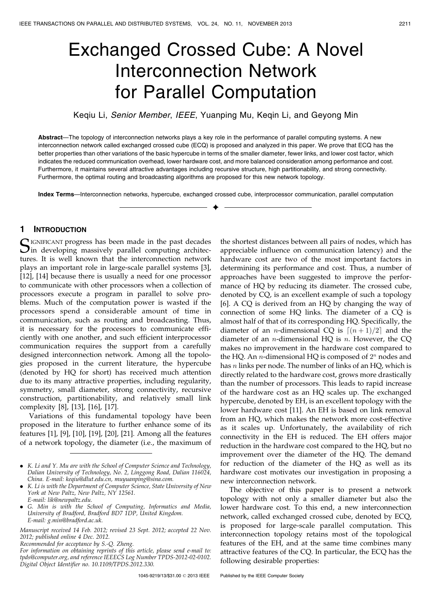# Exchanged Crossed Cube: A Novel Interconnection Network for Parallel Computation

Keqiu Li, Senior Member, IEEE, Yuanping Mu, Keqin Li, and Geyong Min

Abstract—The topology of interconnection networks plays a key role in the performance of parallel computing systems. A new interconnection network called exchanged crossed cube (ECQ) is proposed and analyzed in this paper. We prove that ECQ has the better properties than other variations of the basic hypercube in terms of the smaller diameter, fewer links, and lower cost factor, which indicates the reduced communication overhead, lower hardware cost, and more balanced consideration among performance and cost. Furthermore, it maintains several attractive advantages including recursive structure, high partitionability, and strong connectivity. Furthermore, the optimal routing and broadcasting algorithms are proposed for this new network topology.

Index Terms—Interconnection networks, hypercube, exchanged crossed cube, interprocessor communication, parallel computation  $\ddotmark$ 

## 1 INTRODUCTION

SIGNIFICANT progress has been made in the past decades<br>in developing massively parallel computing architectures. It is well known that the interconnection network plays an important role in large-scale parallel systems [3], [12], [14] because there is usually a need for one processor to communicate with other processors when a collection of processors execute a program in parallel to solve problems. Much of the computation power is wasted if the processors spend a considerable amount of time in communication, such as routing and broadcasting. Thus, it is necessary for the processors to communicate efficiently with one another, and such efficient interprocessor communication requires the support from a carefully designed interconnection network. Among all the topologies proposed in the current literature, the hypercube (denoted by HQ for short) has received much attention due to its many attractive properties, including regularity, symmetry, small diameter, strong connectivity, recursive construction, partitionability, and relatively small link complexity [8], [13], [16], [17].

Variations of this fundamental topology have been proposed in the literature to further enhance some of its features [1], [9], [10], [19], [20], [21]. Among all the features of a network topology, the diameter (i.e., the maximum of

. G. Min is with the School of Computing, Informatics and Media, University of Bradford, Bradford BD7 1DP, United Kingdom. E-mail: g.min@bradford.ac.uk.

Manuscript received 14 Feb. 2012; revised 23 Sept. 2012; accepted 22 Nov. 2012; published online 4 Dec. 2012.

Recommended for acceptance by S.-Q. Zheng.

the shortest distances between all pairs of nodes, which has appreciable influence on communication latency) and the hardware cost are two of the most important factors in determining its performance and cost. Thus, a number of approaches have been suggested to improve the performance of HQ by reducing its diameter. The crossed cube, denoted by CQ, is an excellent example of such a topology [6]. A CQ is derived from an HQ by changing the way of connection of some HQ links. The diameter of a CQ is almost half of that of its corresponding HQ. Specifically, the diameter of an *n*-dimensional CQ is  $[(n+1)/2]$  and the diameter of an *n*-dimensional HQ is *n*. However, the CQ makes no improvement in the hardware cost compared to the HQ. An *n*-dimensional HQ is composed of  $2^n$  nodes and has  $n$  links per node. The number of links of an HQ, which is directly related to the hardware cost, grows more drastically than the number of processors. This leads to rapid increase of the hardware cost as an HQ scales up. The exchanged hypercube, denoted by EH, is an excellent topology with the lower hardware cost [11]. An EH is based on link removal from an HQ, which makes the network more cost-effective as it scales up. Unfortunately, the availability of rich connectivity in the EH is reduced. The EH offers major reduction in the hardware cost compared to the HQ, but no improvement over the diameter of the HQ. The demand for reduction of the diameter of the HQ as well as its hardware cost motivates our investigation in proposing a new interconnection network.

The objective of this paper is to present a network topology with not only a smaller diameter but also the lower hardware cost. To this end, a new interconnection network, called exchanged crossed cube, denoted by ECQ, is proposed for large-scale parallel computation. This interconnection topology retains most of the topological features of the EH, and at the same time combines many attractive features of the CQ. In particular, the ECQ has the following desirable properties:

<sup>.</sup> K. Li and Y. Mu are with the School of Computer Science and Technology, Dalian University of Technology, No. 2, Linggong Road, Dalian 116024, China. E-mail: keqiu@dlut.edu.cn, muyuanping@sina.com.

<sup>.</sup> K. Li is with the Department of Computer Science, State University of New York at New Paltz, New Paltz, NY 12561. E-mail: lik@newpaltz.edu.

For information on obtaining reprints of this article, please send e-mail to: tpds@computer.org, and reference IEEECS Log Number TPDS-2012-02-0102. Digital Object Identifier no. 10.1109/TPDS.2012.330.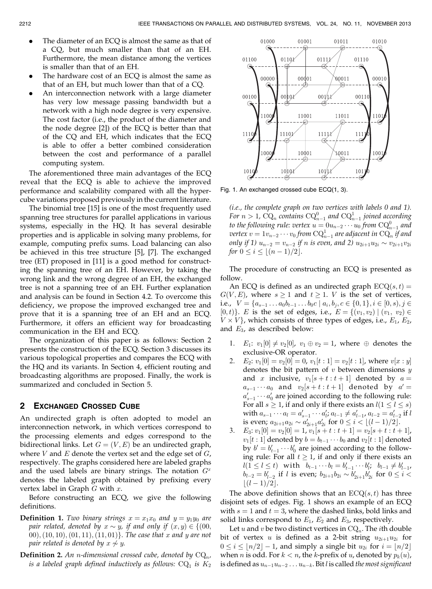- The diameter of an ECQ is almost the same as that of a CQ, but much smaller than that of an EH. Furthermore, the mean distance among the vertices is smaller than that of an EH.
- The hardware cost of an ECQ is almost the same as that of an EH, but much lower than that of a CQ.
- . An interconnection network with a large diameter has very low message passing bandwidth but a network with a high node degree is very expensive. The cost factor (i.e., the product of the diameter and the node degree [2]) of the ECQ is better than that of the CQ and EH, which indicates that the ECQ is able to offer a better combined consideration between the cost and performance of a parallel computing system.

The aforementioned three main advantages of the ECQ reveal that the ECQ is able to achieve the improved performance and scalability compared with all the hypercube variations proposed previously in the current literature.

The binomial tree [15] is one of the most frequently used spanning tree structures for parallel applications in various systems, especially in the HQ. It has several desirable properties and is applicable in solving many problems, for example, computing prefix sums. Load balancing can also be achieved in this tree structure [5], [7]. The exchanged tree (ET) proposed in [11] is a good method for constructing the spanning tree of an EH. However, by taking the wrong link and the wrong degree of an EH, the exchanged tree is not a spanning tree of an EH. Further explanation and analysis can be found in Section 4.2. To overcome this deficiency, we propose the improved exchanged tree and prove that it is a spanning tree of an EH and an ECQ. Furthermore, it offers an efficient way for broadcasting communication in the EH and ECQ.

The organization of this paper is as follows: Section 2 presents the construction of the ECQ. Section 3 discusses its various topological properties and compares the ECQ with the HQ and its variants. In Section 4, efficient routing and broadcasting algorithms are proposed. Finally, the work is summarized and concluded in Section 5.

#### 2 EXCHANGED CROSSED CUBE

An undirected graph is often adopted to model an interconnection network, in which vertices correspond to the processing elements and edges correspond to the bidirectional links. Let  $G = (V, E)$  be an undirected graph, where  $V$  and  $E$  denote the vertex set and the edge set of  $G$ , respectively. The graphs considered here are labeled graphs and the used labels are binary strings. The notation  $G<sup>x</sup>$ denotes the labeled graph obtained by prefixing every vertex label in Graph  $G$  with  $x$ .

Before constructing an ECQ, we give the following definitions.

- **Definition 1.** Two binary strings  $x = x_1x_0$  and  $y = y_1y_0$  are pair related, denoted by  $x \sim y$ , if and only if  $(x,y) \in \{(00,$ 00),  $(10, 10)$ ,  $(01, 11)$ ,  $(11, 01)$ . The case that x and y are not pair related is denoted by  $x\not\sim y.$
- **Definition 2.** An *n*-dimensional crossed cube, denoted by  $CQ_n$ , is a labeled graph defined inductively as follows:  $\text{CQ}_1$  is  $K_2$



Fig. 1. An exchanged crossed cube ECQ(1, 3).

(i.e., the complete graph on two vertices with labels 0 and 1). For  $n > 1$ ,  $\text{CQ}_n$  contains  $\text{CQ}_{n-1}^0$  and  $\text{CQ}_{n-1}^1$  joined according to the following rule: vertex  $u=0$  $u_{n-2}\cdots u_0$  from  $\text{CQ}^0_{n-1}$  and vertex  $v=1v_{n-2}\cdots v_0$  from  $\text{CQ}^1_{n-1}$  are adjacent in  $\text{CQ}_n$  if and only if 1)  $u_{n-2} = v_{n-2}$  if  $n$  is even, and 2)  $u_{2i+1}u_{2i} \sim v_{2i+1}v_{2i}$ for  $0 \le i \le \lfloor (n-1)/2 \rfloor$ .

The procedure of constructing an ECQ is presented as follow.

An ECQ is defined as an undirected graph  $ECQ(s, t) =$  $G(V, E)$ , where  $s \ge 1$  and  $t \ge 1$ . V is the set of vertices, i.e.,  $V = \{a_{s-1} \ldots a_0 b_{t-1} \ldots b_0 c \mid a_i, b_i, c \in \{0,1\}, i \in [0, s), j \in \{0, 1\} \}$  $[0,t)$ . E is the set of edges, i.e.,  $E = \{(v_1, v_2) | (v_1, v_2) \in$  $V \times V$ , which consists of three types of edges, i.e.,  $E_1$ ,  $E_2$ , and  $E_3$ , as described below:

- 1.  $E_1: v_1[0] \neq v_2[0], v_1 \oplus v_2 = 1$ , where  $\oplus$  denotes the exclusive-OR operator.
- 2.  $E_2: v_1[0] = v_2[0] = 0, v_1[t:1] = v_2[t:1]$ , where  $v[x:y]$ denotes the bit pattern of  $v$  between dimensions  $y$ and x inclusive,  $v_1[s + t : t + 1]$  denoted by  $a =$  $a_{s-1} \cdots a_0$  and  $v_2[s+t:t+1]$  denoted by  $a' =$  $a'_{s-1} \cdots a'_0$  are joined according to the following rule: For all  $s \geq 1$ , if and only if there exists an  $l(1 \leq l \leq s)$ with  $a_{s-1} \cdots a_l = a'_{s-1} \cdots a'_l; a_{l-1} \neq a'_{l-1}, a_{l-2} = a'_{l-2}$  if  $l$ is even;  $a_{2i+1}a_{2i} \sim a'_{2i+1}a'_{2i}$  for  $0 \leq i \leq \lfloor (l-1)/2 \rfloor$ .
- 3.  $E_3: v_1[0] = v_2[0] = 1, v_1[s + t : t + 1] = v_2[s + t : t + 1],$  $v_1[t:1]$  denoted by  $b = b_{t-1} \cdots b_0$  and  $v_2[t:1]$  denoted by  $b' = b'_{t-1} \cdots b'_0$  are joined according to the following rule: For all  $t \geq 1$ , if and only if there exists an  $l(1 \leq l \leq t)$  with  $b_{t-1} \cdots b_l = b'_{t-1} \cdots b'_{l}; b_{l-1} \neq b'_{l-1},$  $b_{l-2} = b'_{l-2}$  if l is even;  $b_{2i+1}b_{2i} \sim b'_{2i+1}b'_{2i}$  for  $0 \le i <$  $|(l-1)/2|.$

The above definition shows that an  $ECQ(s, t)$  has three disjoint sets of edges. Fig. 1 shows an example of an ECQ with  $s = 1$  and  $t = 3$ , where the dashed links, bold links and solid links correspond to  $E_1$ ,  $E_2$  and  $E_3$ , respectively.

Let u and v be two distinct vertices in  $\mathrm{CQ}_n$ . The *i*th double bit of vertex u is defined as a 2-bit string  $u_{2i+1}u_{2i}$  for  $0 \le i \le \lfloor n/2 \rfloor - 1$ , and simply a single bit  $u_{2i}$  for  $i = \lfloor n/2 \rfloor$ when *n* is odd. For  $k < n$ , the k-prefix of *u*, denoted by  $p_k(u)$ , is defined as  $u_{n-1}u_{n-2} \ldots u_{n-k}$ . Bit *l* is called the most significant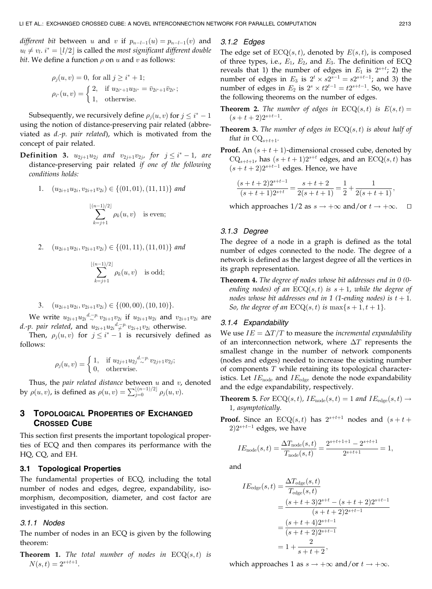*different bit* between u and v if  $p_{n-l-1}(u) = p_{n-l-1}(v)$  and  $u_l \neq v_l$ .  $i^* = \lfloor l/2 \rfloor$  is called the most significant different double *bit*. We define a function  $\rho$  on  $u$  and  $v$  as follows:

$$
\rho_j(u, v) = 0, \text{ for all } j \ge i^* + 1; \n\rho_{i^*}(u, v) = \begin{cases}\n2, & \text{if } u_{2i^*+1} u_{2i^*} = \bar{v}_{2i^*+1} \bar{v}_{2i^*}; \\
1, & \text{otherwise.} \n\end{cases}
$$

Subsequently, we recursively define  $\rho_j(u, v)$  for  $j \leq i^* - 1$ using the notion of distance-preserving pair related (abbreviated as d.-p. pair related), which is motivated from the concept of pair related.

- **Definition 3.**  $u_{2j+1}u_{2j}$  and  $v_{2j+1}v_{2j}$ , for  $j \leq i^* 1$ , are distance-preserving pair related if one of the following conditions holds:
	- 1.  $(u_{2i+1}u_{2i}, v_{2i+1}v_{2i}) \in \{(01, 01), (11, 11)\}$  and

$$
\sum_{k=j+1}^{\lfloor (n-1)/2 \rfloor} \rho_k(u,v) \quad \text{is even};
$$

2.  $(u_{2i+1}u_{2i}, v_{2i+1}v_{2i}) \in \{(01, 11), (11, 01)\}$  and

$$
\sum_{k=j+1}^{\lfloor (n-1)/2 \rfloor} \rho_k(u,v) \quad \text{is odd};
$$

3. 
$$
(u_{2i+1}u_{2i}, v_{2i+1}v_{2i}) \in \{(00, 00), (10, 10)\}.
$$

We write  $u_{2i+1}u_{2i} \stackrel{d-p}{\sim} v_{2i+1}v_{2i}$  if  $u_{2i+1}u_{2i}$  and  $v_{2i+1}v_{2i}$  are *d.-p. pair related,* and  $u_{2i+1}u_{2i} \overset{d.-p.}{\not\sim} v_{2i+1}v_{2i}$  otherwise.

Then,  $\rho_j(u, v)$  for  $j \leq i^* - 1$  is recursively defined as follows:

$$
\rho_j(u, v) = \begin{cases} 1, & \text{if } u_{2j+1} u_{2j} \stackrel{d-p}{\sim} v_{2j+1} v_{2j}; \\ 0, & \text{otherwise.} \end{cases}
$$

Thus, the pair related distance between  $u$  and  $v$ , denoted by  $\rho(u, v)$ , is defined as  $\rho(u, v) = \sum_{j=0}^{\lfloor (n-1)/2 \rfloor} \rho_j(u, v)$ .

# 3 TOPOLOGICAL PROPERTIES OF EXCHANGED CROSSED CUBE

This section first presents the important topological properties of ECQ and then compares its performance with the HQ, CQ, and EH.

#### 3.1 Topological Properties

The fundamental properties of ECQ, including the total number of nodes and edges, degree, expandability, isomorphism, decomposition, diameter, and cost factor are investigated in this section.

#### 3.1.1 Nodes

The number of nodes in an ECQ is given by the following theorem:

**Theorem 1.** The total number of nodes in  $ECQ(s,t)$  is  $N(s,t) = 2^{s+t+1}.$ 

## 3.1.2 Edges

The edge set of  $ECQ(s, t)$ , denoted by  $E(s, t)$ , is composed of three types, i.e.,  $E_1$ ,  $E_2$ , and  $E_3$ . The definition of ECQ reveals that 1) the number of edges in  $E_1$  is  $2^{s+t}$ ; 2) the number of edges in  $E_3$  is  $2^t \times s2^{s-1} = s2^{s+t-1}$ ; and 3) the number of edges in  $E_2$  is  $2^s \times t2^{t-1} = t2^{s+t-1}$ . So, we have the following theorems on the number of edges.

- **Theorem 2.** The number of edges in  $ECQ(s,t)$  is  $E(s,t) =$  $(s+t+2)2^{s+t-1}.$
- **Theorem 3.** The number of edges in  $ECQ(s, t)$  is about half of that in  $\text{CQ}_{s+t+1}$ .
- **Proof.** An  $(s + t + 1)$ -dimensional crossed cube, denoted by  $\text{CQ}_{s+t+1}$ , has  $(s+t+1)2^{s+t}$  edges, and an  $\text{ECQ}(s,t)$  has  $(s + t + 2)2^{s+t-1}$  edges. Hence, we have

$$
\frac{(s+t+2)2^{s+t-1}}{(s+t+1)2^{s+t}} = \frac{s+t+2}{2(s+t+1)} = \frac{1}{2} + \frac{1}{2(s+t+1)},
$$

which approaches 1/2 as  $s \to +\infty$  and/or  $t \to +\infty$ .  $\Box$ 

## 3.1.3 Degree

The degree of a node in a graph is defined as the total number of edges connected to the node. The degree of a network is defined as the largest degree of all the vertices in its graph representation.

Theorem 4. The degree of nodes whose bit addresses end in 0 (0ending nodes) of an  $ECQ(s, t)$  is  $s + 1$ , while the degree of nodes whose bit addresses end in 1 (1-ending nodes) is  $t + 1$ . So, the degree of an  $ECQ(s, t)$  is  $\max\{s + 1, t + 1\}.$ 

#### 3.1.4 Expandability

We use  $IE = \Delta T/T$  to measure the *incremental expandability* of an interconnection network, where  $\Delta T$  represents the smallest change in the number of network components (nodes and edges) needed to increase the existing number of components  $T$  while retaining its topological characteristics. Let  $IE_{\text{node}}$  and  $IE_{\text{edge}}$  denote the node expandability and the edge expandability, respectively.

- **Theorem 5.** For  $ECQ(s,t)$ ,  $IE_{node}(s,t) = 1$  and  $IE_{edge}(s,t) \rightarrow$ 1, asymptotically.
- **Proof.** Since an ECQ(s, t) has  $2^{s+t+1}$  nodes and  $(s + t +$  $2)2^{s+t-1}$  edges, we have

$$
IEnode(s,t) = \frac{\Delta T_{node}(s,t)}{T_{node}(s,t)} = \frac{2^{s+t+1+1} - 2^{s+t+1}}{2^{s+t+1}} = 1,
$$

and

$$
IE_{\text{edge}}(s,t) = \frac{\Delta T_{\text{edge}}(s,t)}{T_{\text{edge}}(s,t)}
$$
  
= 
$$
\frac{(s+t+3)2^{s+t} - (s+t+2)2^{s+t-1}}{(s+t+2)2^{s+t-1}}
$$
  
= 
$$
\frac{(s+t+4)2^{s+t-1}}{(s+t+2)2^{s+t-1}}
$$
  
= 
$$
1 + \frac{2}{s+t+2},
$$

which approaches 1 as  $s \to +\infty$  and/or  $t \to +\infty$ .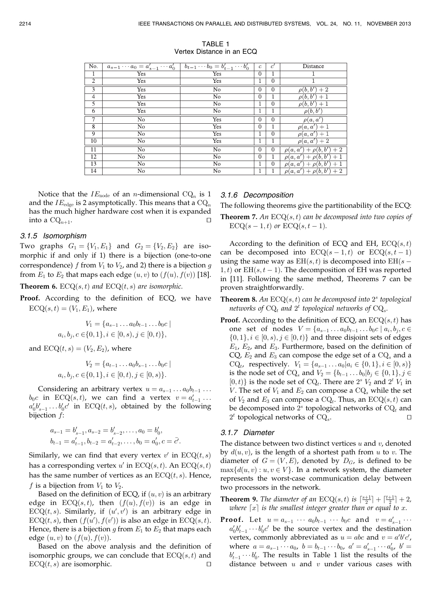| No.            | $a_{s-1}\cdots a_0=a'_{s-1}\cdots a'_0$ $b_{t-1}\cdots b_0=b'_{t-1}\cdots b'_0$ |                 | $\overline{c}$ | $\mathfrak{c}'$ | Distance                        |
|----------------|---------------------------------------------------------------------------------|-----------------|----------------|-----------------|---------------------------------|
| 1              | Yes                                                                             | Yes             | $\Omega$       |                 |                                 |
| $\overline{2}$ | Yes                                                                             | <b>Yes</b>      | 1              | $\theta$        |                                 |
| $\overline{3}$ | Yes                                                                             | N <sub>o</sub>  | $\Omega$       | $\Omega$        | $\rho(b, b') + 2$               |
| $\overline{4}$ | Yes                                                                             | No              | $\theta$       |                 | $\rho(b, b') + 1$               |
| 5              | Yes                                                                             | N <sub>o</sub>  |                | $\theta$        | $\rho(b, b') + 1$               |
| $\overline{6}$ | <b>Yes</b>                                                                      | No.             |                |                 | $\rho(b,b')$                    |
| 7              | No                                                                              | <b>Yes</b>      | $\theta$       | $\Omega$        | $\rho(a,a')$                    |
| $\overline{8}$ | $\overline{No}$                                                                 | Yes             | $\theta$       |                 | $\rho(a,a')+1$                  |
| $\overline{9}$ | No                                                                              | Yes             | 1              | $\Omega$        | $\rho(a,a')+1$                  |
| 10             | No                                                                              | Yes             |                |                 | $\rho(a,a')+2$                  |
| 11             | $\overline{No}$                                                                 | $\overline{No}$ | $\Omega$       | $\Omega$        | $\rho(a, a') + \rho(b, b') + 2$ |
| 12             | No                                                                              | No              | $\mathbf{0}$   |                 | $\rho(a, a') + \rho(b, b') + 1$ |
| 13             | No                                                                              | No              | $\mathbf{I}$   | $\overline{0}$  | $\rho(a,a') + \rho(b,b') + 1$   |
| 14             | N <sub>o</sub>                                                                  | N <sub>o</sub>  | $\mathbf{L}$   |                 | $\rho(a, a') + \rho(b, b') + 2$ |

TABLE 1 Vertex Distance in an ECQ

Notice that the  $IE_{\text{node}}$  of an *n*-dimensional  $\text{CQ}_n$  is 1 and the  $IE_{\text{edge}}$  is 2 asymptotically. This means that a  $\text{CQ}_n$ has the much higher hardware cost when it is expanded into a  $\mathrm{CQ}_{n+1}$ .

#### 3.1.5 Isomorphism

Two graphs  $G_1 = \{V_1, E_1\}$  and  $G_2 = \{V_2, E_2\}$  are isomorphic if and only if 1) there is a bijection (one-to-one correspondence) f from  $V_1$  to  $V_2$ , and 2) there is a bijection g from  $E_1$  to  $E_2$  that maps each edge  $(u, v)$  to  $(f(u), f(v))$  [18]. **Theorem 6.** ECQ $(s, t)$  and ECQ $(t, s)$  are isomorphic.

Proof. According to the definition of ECQ, we have  $ECQ(s, t) = (V_1, E_1)$ , where

$$
V_1 = \{a_{s-1} \dots a_0 b_{t-1} \dots b_0 c \mid
$$
  

$$
a_i, b_j, c \in \{0, 1\}, i \in [0, s), j \in [0, t)\},\
$$

and  $ECQ(t, s) = (V_2, E_2)$ , where

$$
V_2 = \{a_{t-1} \dots a_0 b_{s-1} \dots b_0 c \mid
$$
  

$$
a_i, b_j, c \in \{0, 1\}, i \in [0, t), j \in [0, s)\}.
$$

Considering an arbitrary vertex  $u = a_{s-1} \dots a_0 b_{t-1} \dots$  $b_0c$  in ECQ(s, t), we can find a vertex  $v = a'_{t-1} \dots$  $a'_0b'_{s-1} \ldots b'_0c'$  in  $ECQ(t, s)$ , obtained by the following bijection  $f$ :

$$
a_{s-1} = b'_{s-1}, a_{s-2} = b'_{s-2}, \dots, a_0 = b'_0,
$$
  

$$
b_{t-1} = a'_{t-1}, b_{t-2} = a'_{t-2}, \dots, b_0 = a'_0, c = \overline{c'}.
$$

Similarly, we can find that every vertex  $v'$  in  $ECQ(t, s)$ has a corresponding vertex  $u'$  in  $ECQ(s, t)$ . An  $ECQ(s, t)$ has the same number of vertices as an  $ECQ(t, s)$ . Hence, f is a bijection from  $V_1$  to  $V_2$ .

Based on the definition of ECQ, if  $(u, v)$  is an arbitrary edge in  $ECQ(s, t)$ , then  $(f(u), f(v))$  is an edge in  $ECQ(t, s)$ . Similarly, if  $(u', v')$  is an arbitrary edge in  $ECQ(t, s)$ , then  $(f(u'), f(v'))$  is also an edge in  $ECQ(s, t)$ . Hence, there is a bijection g from  $E_1$  to  $E_2$  that maps each edge  $(u, v)$  to  $(f(u), f(v))$ .

Based on the above analysis and the definition of isomorphic groups, we can conclude that  $ECQ(s,t)$  and  $ECQ(t, s)$  are isomorphic.  $\square$ 

## 3.1.6 Decomposition

The following theorems give the partitionability of the ECQ:

**Theorem 7.** An  $ECQ(s, t)$  can be decomposed into two copies of  $ECQ(s - 1, t)$  or  $ECQ(s, t - 1)$ .

According to the definition of ECQ and EH,  $ECQ(s,t)$ can be decomposed into  $ECQ(s-1,t)$  or  $ECQ(s,t-1)$ using the same way as  $EH(s, t)$  is decomposed into  $EH(s - t)$  $1, t$ ) or EH $(s, t - 1)$ . The decomposition of EH was reported in [11]. Following the same method, Theorems 7 can be proven straightforwardly.

**Theorem 8.** An  $ECQ(s, t)$  can be decomposed into  $2<sup>s</sup>$  topological networks of  $\text{CQ}_t$  and  $2^t$  topological networks of  $\text{CQ}_s$ .

**Proof.** According to the definition of ECQ, an  $ECQ(s,t)$  has one set of nodes  $V = \{a_{s-1} \dots a_0 b_{t-1} \dots b_0 c \mid a_i, b_j, c \in$  $\{0, 1\}, i \in [0, s), j \in [0, t)\}$  and three disjoint sets of edges  $E_1$ ,  $E_2$ , and  $E_3$ . Furthermore, based on the definition of CQ,  $E_2$  and  $E_3$  can compose the edge set of a  $CQ_s$  and a CQ<sub>t</sub>, respectively.  $V_1 = \{a_{s-1} \dots a_0 | a_i \in \{0, 1\}, i \in [0, s)\}\$ is the node set of CQ<sub>s</sub> and  $V_2 = \{b_{t-1} \dots b_0 | b_j \in \{0, 1\}, j \in$  $[0,t)$  is the node set of CQ<sub>t</sub>. There are 2<sup>s</sup>  $V_2$  and 2<sup>t</sup>  $V_1$  in V. The set of  $V_1$  and  $E_2$  can compose a  $CQ_s$  while the set of  $V_2$  and  $E_3$  can compose a  $\text{CQ}_t$ . Thus, an  $\text{ECQ}(s,t)$  can be decomposed into  $2<sup>s</sup>$  topological networks of  $\text{CQ}_t$  and  $2<sup>t</sup>$  topological networks of  $\text{CQ}_s$ .

#### 3.1.7 Diameter

The distance between two distinct vertices  $u$  and  $v$ , denoted by  $d(u, v)$ , is the length of a shortest path from u to v. The diameter of  $G = (V, E)$ , denoted by  $D_G$ , is defined to be  $\max\{d(u, v): u, v \in V\}$ . In a network system, the diameter represents the worst-case communication delay between two processors in the network.

- **Theorem 9.** The diameter of an  $ECQ(s,t)$  is  $\lceil \frac{s+1}{2} \rceil + \lceil \frac{t+1}{2} \rceil + 2$ , where  $\lceil x \rceil$  is the smallest integer greater than or equal to x.
- **Proof.** Let  $u = a_{s-1} \cdots a_0 b_{t-1} \cdots b_0 c$  and  $v = a'_{s-1} \cdots$  $a'_0b'_{t-1}\cdots b'_0c'$  be the source vertex and the destination vertex, commonly abbreviated as  $u = abc$  and  $v = a'b'c'$ , where  $a = a_{s-1} \cdots a_0$ ,  $b = b_{t-1} \cdots b_0$ ,  $a' = a'_{s-1} \cdots a'_{0}$ ,  $b' =$  $b'_{t-1} \cdots b'_0$ . The results in Table 1 list the results of the distance between  $u$  and  $v$  under various cases with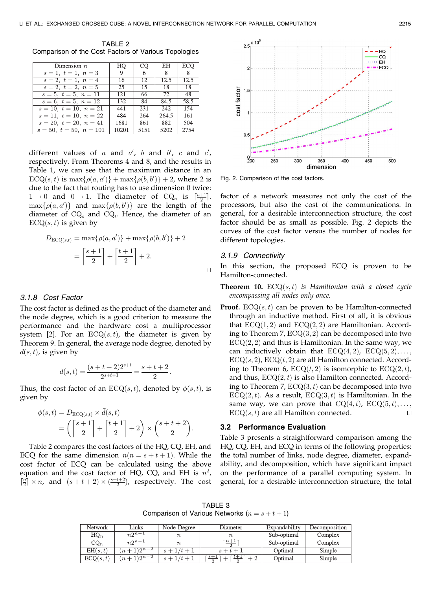TABLE<sub>2</sub> Comparison of the Cost Factors of Various Topologies

| Dimension $n$             | HQ    | CO   | EН             | ECQ  |
|---------------------------|-------|------|----------------|------|
| $s=1, t=1, n=3$           | 9.    | -6   | $\overline{8}$ | - 8  |
| $s=2, t=1, n=4$           | 16    | 12   | 12.5           | 12.5 |
| $s=2, t=2, n=5$           | 25    | 15   | 18             | 18   |
| $s=5, t=5, n=11$          | 121   | 66   | 72             | 48   |
| $s = 6, t = 5, n = 12$    | 132   | 84   | 84.5           | 58.5 |
| $s = 10, t = 10, n = 21$  | 441   | 231  | 242            | 154  |
| $s = 11, t = 10, n = 22$  | 484   | 264  | 264.5          | 161  |
| $s = 20, t = 20, n = 41$  | 1681  | 861  | 882            | 504  |
| $s = 50, t = 50, n = 101$ | 10201 | 5151 | 5202           | 2754 |

different values of  $a$  and  $a'$ ,  $b$  and  $b'$ ,  $c$  and  $c'$ , respectively. From Theorems 4 and 8, and the results in Table 1, we can see that the maximum distance in an  $ECQ(s,t)$  is  $\max\{\rho(a,a')\} + \max\{\rho(b,b')\} + 2$ , where 2 is due to the fact that routing has to use dimension 0 twice:  $1 \rightarrow 0$  and  $0 \rightarrow 1$ . The diameter of  $CQ_n$  is  $\lceil \frac{n+1}{2} \rceil$ .  $\max\{\rho(a, a')\}$  and  $\max\{\rho(b, b')\}$  are the length of the diameter of  $CQ_s$  and  $CQ_t$ . Hence, the diameter of an  $ECQ(s, t)$  is given by

$$
D_{ECQ(s,t)} = \max\{\rho(a, a')\} + \max\{\rho(b, b')\} + 2
$$
  
=  $\left\lceil \frac{s+1}{2} \right\rceil + \left\lceil \frac{t+1}{2} \right\rceil + 2.$ 

#### 3.1.8 Cost Factor

The cost factor is defined as the product of the diameter and the node degree, which is a good criterion to measure the performance and the hardware cost a multiprocessor system [2]. For an  $ECQ(s, t)$ , the diameter is given by Theorem 9. In general, the average node degree, denoted by  $\overline{d}(s,t)$ , is given by

$$
\bar{d}(s,t) = \frac{(s+t+2)2^{s+t}}{2^{s+t+1}} = \frac{s+t+2}{2}.
$$

Thus, the cost factor of an  $ECQ(s,t)$ , denoted by  $\phi(s,t)$ , is given by

$$
\phi(s,t) = D_{\text{ECQ}(s,t)} \times \bar{d}(s,t)
$$
  
=  $\left(\left\lceil \frac{s+1}{2} \right\rceil + \left\lceil \frac{t+1}{2} \right\rceil + 2\right) \times \left(\frac{s+t+2}{2}\right).$ 

Table 2 compares the cost factors of the HQ, CQ, EH, and ECQ for the same dimension  $n(n = s + t + 1)$ . While the cost factor of ECQ can be calculated using the above equation and the cost factor of HQ, CQ, and EH is  $n^2$ ,  $\lceil \frac{n}{2} \rceil \times n$ , and  $(s+t+2) \times \frac{(s+t+2)}{2}$ , respectively. The cost



Fig. 2. Comparison of the cost factors.

factor of a network measures not only the cost of the processors, but also the cost of the communications. In general, for a desirable interconnection structure, the cost factor should be as small as possible. Fig. 2 depicts the curves of the cost factor versus the number of nodes for different topologies.

#### 3.1.9 Connectivity

In this section, the proposed ECQ is proven to be Hamilton-connected.

**Theorem 10.** ECQ $(s,t)$  is Hamiltonian with a closed cycle encompassing all nodes only once.

**Proof.** ECQ $(s, t)$  can be proven to be Hamilton-connected through an inductive method. First of all, it is obvious that  $ECQ(1, 2)$  and  $ECQ(2, 2)$  are Hamiltonian. According to Theorem 7,  $ECQ(3, 2)$  can be decomposed into two  $ECQ(2, 2)$  and thus is Hamiltonian. In the same way, we can inductively obtain that  $ECQ(4,2)$ ,  $ECQ(5,2), \ldots$ ,  $ECQ(s, 2)$ ,  $ECQ(t, 2)$  are all Hamilton connected. According to Theorem 6,  $ECQ(t, 2)$  is isomorphic to  $ECQ(2, t)$ , and thus,  $ECQ(2, t)$  is also Hamilton connected. According to Theorem 7,  $ECQ(3, t)$  can be decomposed into two  $ECQ(2, t)$ . As a result,  $ECQ(3, t)$  is Hamiltonian. In the same way, we can prove that  $CQ(4,t)$ ,  $ECQ(5,t)$ ,...  $ECQ(s, t)$  are all Hamilton connected.  $\square$ 

#### 3.2 Performance Evaluation

Table 3 presents a straightforward comparison among the HQ, CQ, EH, and ECQ in terms of the following properties: the total number of links, node degree, diameter, expandability, and decomposition, which have significant impact on the performance of a parallel computing system. In general, for a desirable interconnection structure, the total

TABLE 3 Comparison of Various Networks  $(n = s + t + 1)$ 

| <b>Network</b>  | Links          | Node Degree   | Diameter                              | Expandability | Decomposition |
|-----------------|----------------|---------------|---------------------------------------|---------------|---------------|
| $\mathrm{HQ}_n$ | $n2^{n-1}$     |               | $\boldsymbol{n}$                      | Sub-optimal   | Complex       |
| $\mathrm{CO}_n$ | $n2^{n-1}$     | $\it n$       | $n+$                                  | Sub-optimal   | Complex       |
| EH(s,t)         | $(n+1)2^{n-2}$ | $s + 1/t + 1$ | Optimal<br>$s+t+1$                    |               | Simple        |
| ECQ(s, t)       | $(n+1)2^{n-2}$ | $+1/t+1$      | $-s+1$ -<br>$\cdot$ $\iota$ + $\cdot$ | Optimal       | Simple        |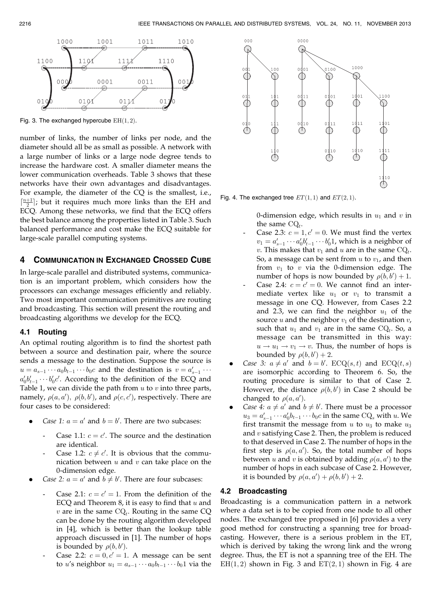

Fig. 3. The exchanged hypercube  $EH(1, 2)$ .

number of links, the number of links per node, and the diameter should all be as small as possible. A network with a large number of links or a large node degree tends to increase the hardware cost. A smaller diameter means the lower communication overheads. Table 3 shows that these networks have their own advantages and disadvantages. For example, the diameter of the CQ is the smallest, i.e.,  $\left[\frac{n+1}{2}\right]$ ; but it requires much more links than the EH and ECQ. Among these networks, we find that the ECQ offers the best balance among the properties listed in Table 3. Such balanced performance and cost make the ECQ suitable for large-scale parallel computing systems.

## 4 COMMUNICATION IN EXCHANGED CROSSED CUBE

In large-scale parallel and distributed systems, communication is an important problem, which considers how the processors can exchange messages efficiently and reliably. Two most important communication primitives are routing and broadcasting. This section will present the routing and broadcasting algorithms we develop for the ECQ.

#### 4.1 Routing

An optimal routing algorithm is to find the shortest path between a source and destination pair, where the source sends a message to the destination. Suppose the source is  $u = a_{s-1} \cdots a_0 b_{t-1} \cdots b_0 c$  and the destination is  $v = a'_{s-1} \cdots$  $a'_0b'_{t-1}\cdots b'_0c'$ . According to the definition of the ECQ and Table 1, we can divide the path from  $u$  to  $v$  into three parts, namely,  $\rho(a, a'), \rho(b, b')$ , and  $\rho(c, c')$ , respectively. There are four cases to be considered:

- *Case 1:*  $a = a'$  and  $b = b'$ . There are two subcases:
	- Case 1.1:  $c = c'$ . The source and the destination are identical.
	- Case 1.2:  $c \neq c'$ . It is obvious that the communication between  $u$  and  $v$  can take place on the 0-dimension edge.
- *Case 2:*  $a = a'$  and  $b \neq b'$ . There are four subcases:
	- Case 2.1:  $c = c' = 1$ . From the definition of the ECQ and Theorem  $8$ , it is easy to find that  $u$  and  $v$  are in the same  $\text{CQ}_t$ . Routing in the same  $\text{CQ}$ can be done by the routing algorithm developed in [4], which is better than the lookup table approach discussed in [1]. The number of hops is bounded by  $\rho(b, b')$ .
	- Case 2.2:  $c = 0, c' = 1$ . A message can be sent to *u*'s neighbor  $u_1 = a_{s-1} \cdots a_0 b_{t-1} \cdots b_0 1$  via the



Fig. 4. The exchanged tree  $ET(1,1)$  and  $ET(2,1)$ .

0-dimension edge, which results in  $u_1$  and  $v$  in the same  $CQ_t$ .

- Case 2.3:  $c = 1, c' = 0$ . We must find the vertex  $v_1 = a'_{s-1} \cdots a'_0 b'_{t-1} \cdots b'_0 1$ , which is a neighbor of v. This makes that  $v_1$  and u are in the same  $\text{CQ}_t$ . So, a message can be sent from  $u$  to  $v_1$ , and then from  $v_1$  to  $v$  via the 0-dimension edge. The number of hops is now bounded by  $\rho(b, b') + 1$ .
- Case 2.4:  $c = c' = 0$ . We cannot find an intermediate vertex like  $u_1$  or  $v_1$  to transmit a message in one CQ. However, from Cases 2.2 and 2.3, we can find the neighbor  $u_1$  of the source u and the neighbor  $v_1$  of the destination  $v_i$ , such that  $u_1$  and  $v_1$  are in the same CQ<sub>t</sub>. So, a message can be transmitted in this way:  $u \rightarrow u_1 \rightarrow v_1 \rightarrow v$ . Thus, the number of hops is bounded by  $\rho(b, b') + 2$ .
- Case 3:  $a \neq a'$  and  $b = b'$ .  $ECQ(s, t)$  and  $ECQ(t, s)$ are isomorphic according to Theorem 6. So, the routing procedure is similar to that of Case 2. However, the distance  $\rho(b, b')$  in Case 2 should be changed to  $\rho(a, a')$ .
- Case 4:  $a \neq a'$  and  $b \neq b'$ . There must be a processor  $u_3 = a'_{s-1} \cdots a'_0 b_{t-1} \cdots b_0 c$  in the same  $\text{CQ}_s$  with u. We first transmit the message from  $u$  to  $u_3$  to make  $u_3$ and  $v$  satisfying Case 2. Then, the problem is reduced to that deserved in Case 2. The number of hops in the first step is  $\rho(a, a')$ . So, the total number of hops between u and v is obtained by adding  $\rho(a, a')$  to the number of hops in each subcase of Case 2. However, it is bounded by  $\rho(a, a') + \rho(b, b') + 2$ .

## 4.2 Broadcasting

Broadcasting is a communication pattern in a network where a data set is to be copied from one node to all other nodes. The exchanged tree proposed in [6] provides a very good method for constructing a spanning tree for broadcasting. However, there is a serious problem in the ET, which is derived by taking the wrong link and the wrong degree. Thus, the ET is not a spanning tree of the EH. The  $EH(1, 2)$  shown in Fig. 3 and  $ET(2, 1)$  shown in Fig. 4 are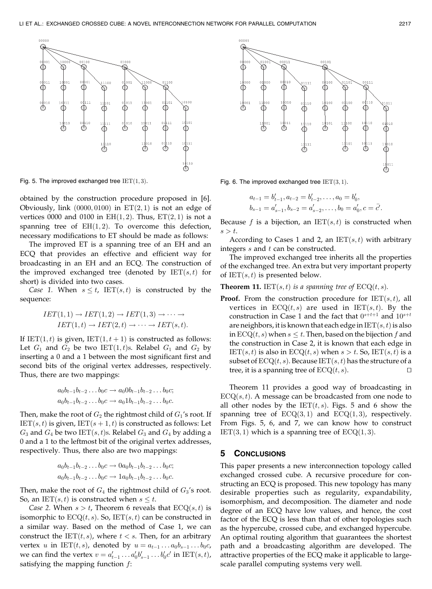

Fig. 5. The improved exchanged tree  $IET(1,3)$ . Fig. 6. The improved exchanged tree  $IET(3,1)$ .

obtained by the construction procedure proposed in [6]. Obviously, link  $(0000, 0100)$  in  $ET(2, 1)$  is not an edge of vertices 0000 and 0100 in  $EH(1,2)$ . Thus,  $ET(2,1)$  is not a spanning tree of  $EH(1,2)$ . To overcome this defection, necessary modifications to ET should be made as follows:

The improved ET is a spanning tree of an EH and an ECQ that provides an effective and efficient way for broadcasting in an EH and an ECQ. The construction of the improved exchanged tree (denoted by  $IET(s, t)$  for short) is divided into two cases.

Case 1. When  $s \leq t$ , IET $(s, t)$  is constructed by the sequence:

$$
IET(1,1) \to IET(1,2) \to IET(1,3) \to \cdots \to
$$
  

$$
IET(1,t) \to IET(2,t) \to \cdots \to IET(s,t).
$$

If IET $(1, t)$  is given, IET $(1, t + 1)$  is constructed as follows: Let  $G_1$  and  $G_2$  be two IET $(1, t)$ s. Relabel  $G_1$  and  $G_2$  by inserting a 0 and a 1 between the most significant first and second bits of the original vertex addresses, respectively. Thus, there are two mappings:

$$
a_0b_{t-1}b_{t-2}\dots b_0c \to a_00b_{t-1}b_{t-2}\dots b_0c;
$$
  

$$
a_0b_{t-1}b_{t-2}\dots b_0c \to a_01b_{t-1}b_{t-2}\dots b_0c.
$$

Then, make the root of  $G_2$  the rightmost child of  $G_1$ 's root. If  $IET(s, t)$  is given,  $IET(s + 1, t)$  is constructed as follows: Let  $G_3$  and  $G_4$  be two IET $(s, t)$ s. Relabel  $G_3$  and  $G_4$  by adding a 0 and a 1 to the leftmost bit of the original vertex addresses, respectively. Thus, there also are two mappings:

$$
a_0b_{t-1}b_{t-2}...b_0c \to 0a_0b_{t-1}b_{t-2}...b_0c;
$$
  

$$
a_0b_{t-1}b_{t-2}...b_0c \to 1a_0b_{t-1}b_{t-2}...b_0c.
$$

Then, make the root of  $G_4$  the rightmost child of  $G_3$ 's root. So, an IET $(s, t)$  is constructed when  $s \leq t$ .

Case 2. When  $s > t$ , Theorem 6 reveals that  $ECQ(s, t)$  is isomorphic to  $ECQ(t, s)$ . So,  $IET(s, t)$  can be constructed in a similar way. Based on the method of Case 1, we can construct the IET $(t, s)$ , where  $t < s$ . Then, for an arbitrary vertex u in IET $(t, s)$ , denoted by  $u = a_{t-1} \dots a_0 b_{s-1} \dots b_0 c$ , we can find the vertex  $v = a'_{t-1} \dots a'_0 b'_{s-1} \dots b'_0 c'$  in  $\operatorname{IET}(s, t)$ , satisfying the mapping function  $f$ :



$$
a_{t-1} = b'_{t-1}, a_{t-2} = b'_{t-2}, \dots, a_0 = b'_0,
$$
  

$$
b_{s-1} = a'_{s-1}, b_{s-2} = a'_{s-2}, \dots, b_0 = a'_0, c = \bar{c'}.
$$

Because f is a bijection, an  $IET(s, t)$  is constructed when  $s>t$ .

According to Cases 1 and 2, an  $IET(s, t)$  with arbitrary integers  $s$  and  $t$  can be constructed.

The improved exchanged tree inherits all the properties of the exchanged tree. An extra but very important property of  $IET(s, t)$  is presented below.

**Theorem 11.** IET $(s, t)$  is a spanning tree of  $ECQ(t, s)$ .

**Proof.** From the construction procedure for  $IET(s, t)$ , all vertices in  $ECQ(t, s)$  are used in  $IET(s, t)$ . By the construction in Case 1 and the fact that  $0^{s+t+1}$  and  $10^{s+t}$ are neighbors, it is known that each edge in  $IET(s, t)$  is also in  $ECQ(t, s)$  when  $s \leq t$ . Then, based on the bijection f and the construction in Case 2, it is known that each edge in  $\text{IET}(s,t)$  is also in  $\text{ECQ}(t,s)$  when  $s > t$ . So,  $\text{IET}(s,t)$  is a subset of  $ECQ(t, s)$ . Because  $IET(s, t)$  has the structure of a tree, it is a spanning tree of  $ECQ(t, s)$ .

Theorem 11 provides a good way of broadcasting in  $ECQ(s, t)$ . A message can be broadcasted from one node to all other nodes by the  $IET(t, s)$ . Figs. 5 and 6 show the spanning tree of  $ECQ(3,1)$  and  $ECQ(1,3)$ , respectively. From Figs. 5, 6, and 7, we can know how to construct  $IET(3, 1)$  which is a spanning tree of  $ECQ(1, 3)$ .

#### 5 CONCLUSIONS

This paper presents a new interconnection topology called exchanged crossed cube. A recursive procedure for constructing an ECQ is proposed. This new topology has many desirable properties such as regularity, expandability, isomorphism, and decomposition. The diameter and node degree of an ECQ have low values, and hence, the cost factor of the ECQ is less than that of other topologies such as the hypercube, crossed cube, and exchanged hypercube. An optimal routing algorithm that guarantees the shortest path and a broadcasting algorithm are developed. The attractive properties of the ECQ make it applicable to largescale parallel computing systems very well.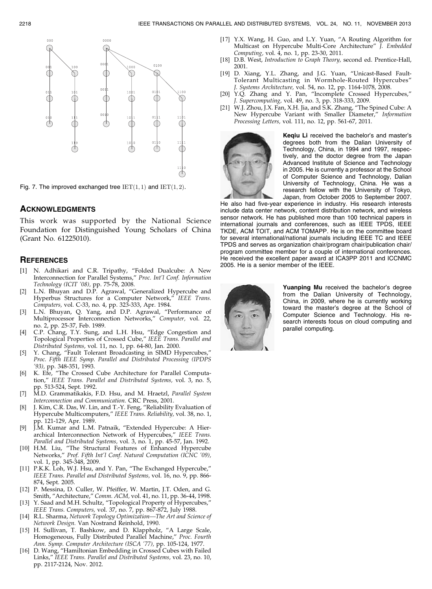

Fig. 7. The improved exchanged tree  $IET(1, 1)$  and  $IET(1, 2)$ .

#### ACKNOWLEDGMENTS

This work was supported by the National Science Foundation for Distinguished Young Scholars of China (Grant No. 61225010).

#### **REFERENCES**

- [1] N. Adhikari and C.R. Tripathy, "Folded Dualcube: A New Interconnection for Parallel Systems," Proc. Int'l Conf. Information Technology (ICIT '08), pp. 75-78, 2008.
- [2] L.N. Bhuyan and D.P. Agrawal, "Generalized Hypercube and Hyperbus Structures for a Computer Network," IEEE Trans. Computers, vol. C-33, no. 4, pp. 323-333, Apr. 1984.
- L.N. Bhuyan, Q. Yang, and D.P. Agrawal, "Performance of Multiprocessor Interconnection Networks," Computer, vol. 22, no. 2, pp. 25-37, Feb. 1989.
- [4] C.P. Chang, T.Y. Sung, and L.H. Hsu, "Edge Congestion and Topological Properties of Crossed Cube," IEEE Trans. Parallel and Distributed Systems, vol. 11, no. 1, pp. 64-80, Jan. 2000.
- [5] Y. Chang, "Fault Tolerant Broadcasting in SIMD Hypercubes," Proc. Fifth IEEE Symp. Parallel and Distributed Processing (IPDPS '93), pp. 348-351, 1993.
- [6] K. Efe, "The Crossed Cube Architecture for Parallel Computation," IEEE Trans. Parallel and Distributed Systems, vol. 3, no. 5, pp. 513-524, Sept. 1992.
- [7] M.D. Grammatikakis, F.D. Hsu, and M. Hraetzl, Parallel System Interconnection and Communication. CRC Press, 2001.
- [8] J. Kim, C.R. Das, W. Lin, and T.-Y. Feng, "Reliability Evaluation of Hypercube Multicomputers," IEEE Trans. Reliability, vol. 38, no. 1, pp. 121-129, Apr. 1989.
- [9] J.M. Kumar and L.M. Patnaik, "Extended Hypercube: A Hierarchical Interconnection Network of Hypercubes," IEEE Trans. Parallel and Distributed Systems, vol. 3, no. 1, pp. 45-57, Jan. 1992.
- [10] H.M. Liu, "The Structural Features of Enhanced Hypercube Networks," Prof. Fifth Int'l Conf. Natural Computation (ICNC '09), vol. 1, pp. 345-348, 2009.
- [11] P.K.K. Loh, W.J. Hsu, and Y. Pan, "The Exchanged Hypercube," IEEE Trans. Parallel and Distributed Systems, vol. 16, no. 9, pp. 866- 874, Sept. 2005.
- [12] P. Messina, D. Culler, W. Pfeiffer, W. Martin, J.T. Oden, and G. Smith, "Architecture," Comm. ACM, vol. 41, no. 11, pp. 36-44, 1998.
- [13] Y. Saad and M.H. Schultz, "Topological Property of Hypercubes," IEEE Trans. Computers, vol. 37, no. 7, pp. 867-872, July 1988.
- [14] R.L. Sharma, Network Topology Optimization-The Art and Science of Network Design. Van Nostrand Reinhold, 1990.
- [15] H. Sullivan, T. Bashkow, and D. Klappholz, "A Large Scale, Homogeneous, Fully Distributed Parallel Machine," Proc. Fourth Ann. Symp. Computer Architecture (ISCA '77), pp. 105-124, 1977.
- [16] D. Wang, "Hamiltonian Embedding in Crossed Cubes with Failed Links," IEEE Trans. Parallel and Distributed Systems, vol. 23, no. 10, pp. 2117-2124, Nov. 2012.
- [17] Y.X. Wang, H. Guo, and L.Y. Yuan, "A Routing Algorithm for Multicast on Hypercube Multi-Core Architecture" J. Embedded Computing, vol. 4, no. 1, pp. 23-30, 2011.
- [18] D.B. West, Introduction to Graph Theory, second ed. Prentice-Hall, 2001.
- [19] D. Xiang, Y.L. Zhang, and J.G. Yuan, "Unicast-Based Fault-Tolerant Multicasting in Wormhole-Routed Hypercubes" J. Systems Architecture, vol. 54, no. 12, pp. 1164-1078, 2008.
- [20] Y.Q. Zhang and Y. Pan, "Incomplete Crossed Hypercubes," J. Supercomputing, vol. 49, no. 3, pp. 318-333, 2009.
- [21] W.J. Zhou, J.X. Fan, X.H. Jia, and S.K. Zhang, "The Spined Cube: A New Hypercube Variant with Smaller Diameter," Information Processing Letters, vol. 111, no. 12, pp. 561-67, 2011.



Keqiu Li received the bachelor's and master's degrees both from the Dalian University of Technology, China, in 1994 and 1997, respectively, and the doctor degree from the Japan Advanced Institute of Science and Technology in 2005. He is currently a professor at the School of Computer Science and Technology, Dalian University of Technology, China. He was a research fellow with the University of Tokyo, Japan, from October 2005 to September 2007.

He also had five-year experience in industry. His research interests include data center network, content distribution network, and wireless sensor network. He has published more than 100 technical papers in international journals and conferences, such as IEEE TPDS, IEEE TKDE, ACM TOIT, and ACM TOMAPP. He is on the committee board for several international/national journals including IEEE TC and IEEE TPDS and serves as organization chair/program chair/publication chair/ program committee member for a couple of international conferences. He received the excellent paper award at ICA3PP 2011 and ICCNMC 2005. He is a senior member of the IEEE.



Yuanping Mu received the bachelor's degree from the Dalian University of Technology, China, in 2009, where he is currently working toward the master's degree at the School of Computer Science and Technology. His research interests focus on cloud computing and parallel computing.